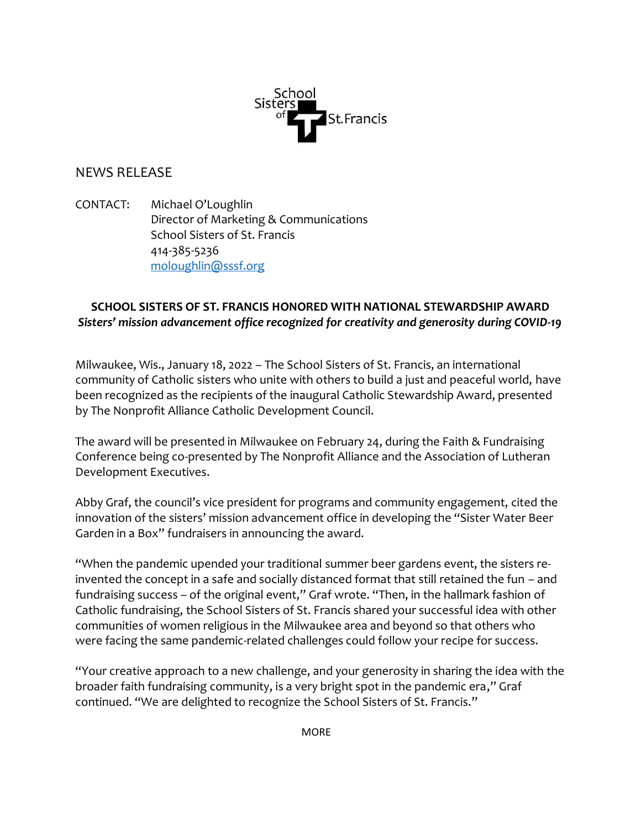

## NEWS RELEASE

CONTACT: Michael O'Loughlin Director of Marketing & Communications School Sisters of St. Francis 414-385-5236 [moloughlin@sssf.org](mailto:moloughlin@sssf.org)

## **SCHOOL SISTERS OF ST. FRANCIS HONORED WITH NATIONAL STEWARDSHIP AWARD** *Sisters' mission advancement office recognized for creativity and generosity during COVID-19*

Milwaukee, Wis., January 18, 2022 – The School Sisters of St. Francis, an international community of Catholic sisters who unite with others to build a just and peaceful world, have been recognized as the recipients of the inaugural Catholic Stewardship Award, presented by The Nonprofit Alliance Catholic Development Council.

The award will be presented in Milwaukee on February 24, during the Faith & Fundraising Conference being co-presented by The Nonprofit Alliance and the Association of Lutheran Development Executives.

Abby Graf, the council's vice president for programs and community engagement, cited the innovation of the sisters' mission advancement office in developing the "Sister Water Beer Garden in a Box" fundraisers in announcing the award.

"When the pandemic upended your traditional summer beer gardens event, the sisters reinvented the concept in a safe and socially distanced format that still retained the fun – and fundraising success – of the original event," Graf wrote. "Then, in the hallmark fashion of Catholic fundraising, the School Sisters of St. Francis shared your successful idea with other communities of women religious in the Milwaukee area and beyond so that others who were facing the same pandemic-related challenges could follow your recipe for success.

"Your creative approach to a new challenge, and your generosity in sharing the idea with the broader faith fundraising community, is a very bright spot in the pandemic era," Graf continued. "We are delighted to recognize the School Sisters of St. Francis."

MORE